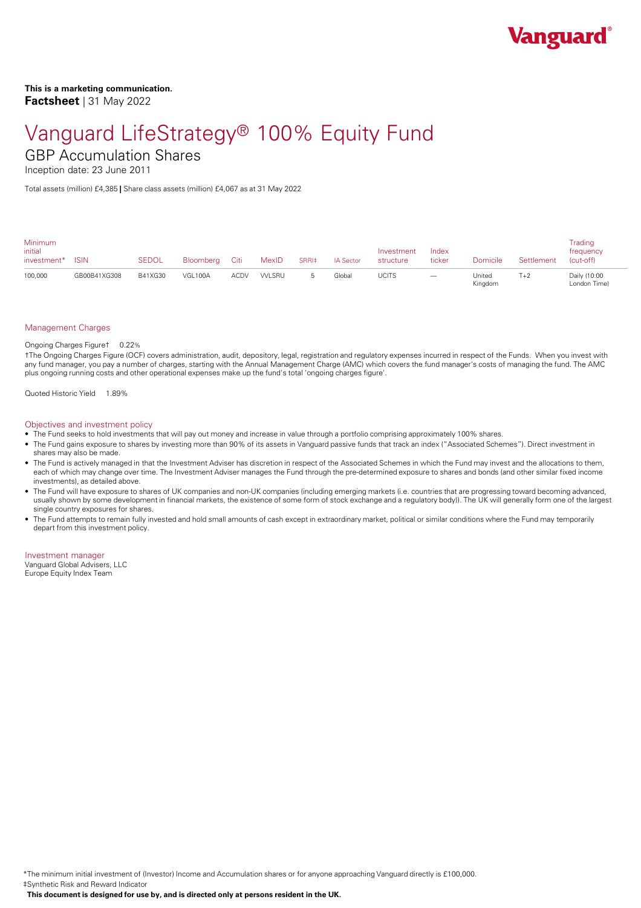

## Vanguard LifeStrategy® 100% Equity Fund GBP Accumulation Shares

Inception date: 23 June 2011

Total assets (million) £4,385 **|** Share class assets (million) £4,067 as at 31 May 2022

| <b>Minimum</b><br>initial<br>investment* | <b>ISIN</b>  | <b>SEDOL</b> | Bloombera Citi |             | MexID  | SRRI‡ | <b>IA Sector</b> | Investment<br>structure | Index<br>ticker                 | Domicile          | Settlement | Trading<br>frequency<br>(cut-off) |  |
|------------------------------------------|--------------|--------------|----------------|-------------|--------|-------|------------------|-------------------------|---------------------------------|-------------------|------------|-----------------------------------|--|
| 100,000                                  | GB00B41XG308 | B41XG30      | VGL100A        | <b>ACDV</b> | VVLSRU |       | Global           | UCITS                   | $\hspace{0.1mm}-\hspace{0.1mm}$ | United<br>Kingdom | T+2        | Daily (10:00<br>London Time)      |  |

### Management Charges

### Ongoing Charges Figure† 0.22%

†The Ongoing Charges Figure (OCF) covers administration, audit, depository, legal, registration and regulatory expenses incurred in respect of the Funds. When you invest with any fund manager, you pay a number of charges, starting with the Annual Management Charge (AMC) which covers the fund manager's costs of managing the fund. The AMC plus ongoing running costs and other operational expenses make up the fund's total 'ongoing charges figure'.

Quoted Historic Yield 1.89%

### Objectives and investment policy

- The Fund seeks to hold investments that will pay out money and increase in value through a portfolio comprising approximately 100% shares.
- The Fund gains exposure to shares by investing more than 90% of its assets in Vanguard passive funds that track an index ("Associated Schemes"). Direct investment in shares may also be made.
- The Fund is actively managed in that the Investment Adviser has discretion in respect of the Associated Schemes in which the Fund may invest and the allocations to them, each of which may change over time. The Investment Adviser manages the Fund through the pre-determined exposure to shares and bonds (and other similar fixed income investments), as detailed above.
- The Fund will have exposure to shares of UK companies and non-UK companies (including emerging markets (i.e. countries that are progressing toward becoming advanced, usually shown by some development in financial markets, the existence of some form of stock exchange and a regulatory body)). The UK will generally form one of the largest single country exposures for shares.
- The Fund attempts to remain fully invested and hold small amounts of cash except in extraordinary market, political or similar conditions where the Fund may temporarily depart from this investment policy.

Investment manager

Vanguard Global Advisers, LLC Europe Equity Index Team

\*The minimum initial investment of (Investor) Income and Accumulation shares or for anyone approaching Vanguard directly is £100,000.

‡Synthetic Risk and Reward Indicator

**This document is designed foruse by, and is directed only atpersons resident in the UK.**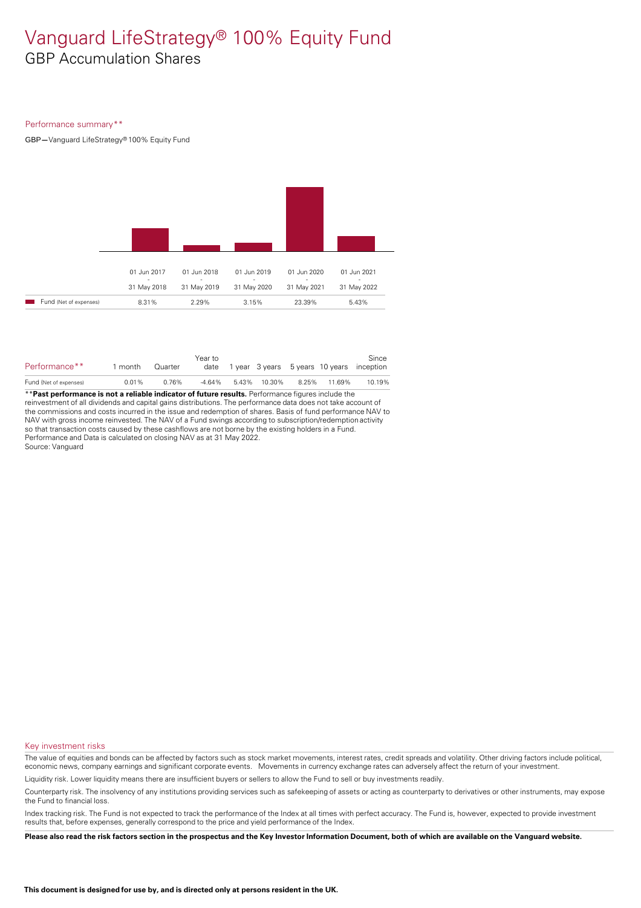## Vanguard LifeStrategy® 100% Equity Fund GBP Accumulation Shares

### Performance summary\*\*

GBP**—**Vanguard LifeStrategy®100% Equity Fund



| Performance**          | month | Quarter | Year to |  |                                  | Since<br>date 1 year 3 years 5 years 10 years inception |
|------------------------|-------|---------|---------|--|----------------------------------|---------------------------------------------------------|
| Fund (Net of expenses) | 0.01% | 0.76%   |         |  | -4.64% 5.43% 10.30% 8.25% 11.69% | 10.19%                                                  |
| $\ldots$               |       |         |         |  |                                  |                                                         |

\*\***Past performance is not a reliable indicator of future results.** Performance figures include the reinvestment of all dividends and capital gains distributions. The performance data does not take account of the commissions and costs incurred in the issue and redemption of shares. Basis of fund performance NAV to NAV with gross income reinvested. The NAV of a Fund swings according to subscription/redemption activity so that transaction costs caused by these cashflows are not borne by the existing holders in a Fund. Performance and Data is calculated on closing NAV as at 31 May 2022. Source: Vanguard

#### Key investment risks

The value of equities and bonds can be affected by factors such as stock market movements, interest rates, credit spreads and volatility. Other driving factors include political, economic news, company earnings and significant corporate events. Movements in currency exchange rates can adversely affect the return of your investment.

Liquidity risk. Lower liquidity means there are insufficient buyers or sellers to allow the Fund to sell or buy investments readily.

Counterparty risk. The insolvency ofany institutions providing services such as safekeeping of assets or acting as counterparty to derivatives or other instruments, may expose the Fund to financial loss.

Index tracking risk.The Fund is not expected to track the performance of the Index at all times with perfect accuracy. The Fund is, however, expected to provide investment results that, before expenses, generally correspond to the price and yield performance of the Index.

Please also read the risk factors section in the prospectus and the Key Investor Information Document, both of which are available on the Vanguard website.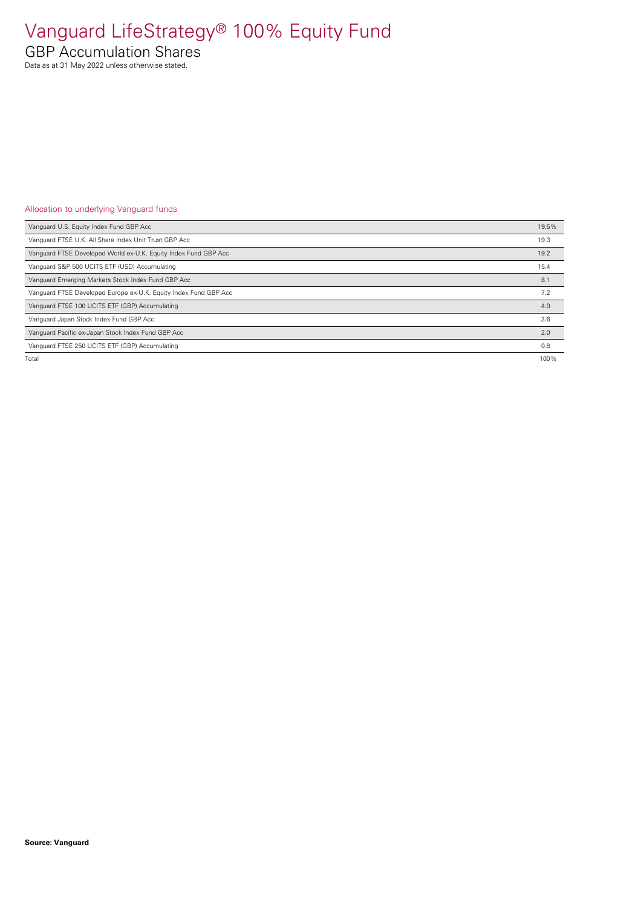# Vanguard LifeStrategy® 100% Equity Fund

GBP Accumulation Shares

Data as at 31 May 2022 unless otherwise stated.

### Allocation to underlying Vanguard funds

| Vanquard U.S. Equity Index Fund GBP Acc                          | 19.5% |
|------------------------------------------------------------------|-------|
| Vanquard FTSE U.K. All Share Index Unit Trust GBP Acc            | 19.3  |
| Vanguard FTSE Developed World ex-U.K. Equity Index Fund GBP Acc  | 19.2  |
| Vanguard S&P 500 UCITS ETF (USD) Accumulating                    | 15.4  |
| Vanguard Emerging Markets Stock Index Fund GBP Acc               | 8.1   |
| Vanguard FTSE Developed Europe ex-U.K. Equity Index Fund GBP Acc | 7.2   |
| Vanguard FTSE 100 UCITS ETF (GBP) Accumulating                   | 4.9   |
| Vanquard Japan Stock Index Fund GBP Acc                          | 3.6   |
| Vanquard Pacific ex-Japan Stock Index Fund GBP Acc               | 2.0   |
| Vanquard FTSE 250 UCITS ETF (GBP) Accumulating                   | 0.8   |
| Total                                                            | 100%  |